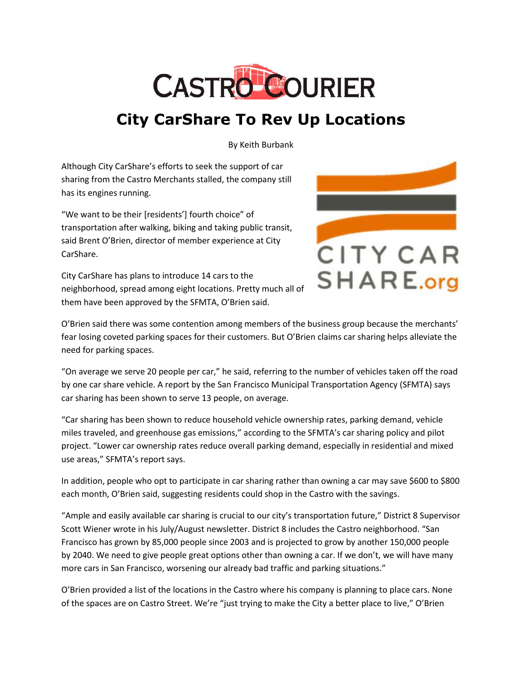

## **City CarShare To Rev Up Locations**

By Keith Burbank

Although City CarShare's efforts to seek the support of car sharing from the Castro Merchants stalled, the company still has its engines running.

"We want to be their [residents'] fourth choice" of transportation after walking, biking and taking public transit, said Brent O'Brien, director of member experience at City CarShare.

City CarShare has plans to introduce 14 cars to the neighborhood, spread among eight locations. Pretty much all of them have been approved by the SFMTA, O'Brien said.



O'Brien said there was some contention among members of the business group because the merchants' fear losing coveted parking spaces for their customers. But O'Brien claims car sharing helps alleviate the need for parking spaces.

"On average we serve 20 people per car," he said, referring to the number of vehicles taken off the road by one car share vehicle. A report by the San Francisco Municipal Transportation Agency (SFMTA) says car sharing has been shown to serve 13 people, on average.

"Car sharing has been shown to reduce household vehicle ownership rates, parking demand, vehicle miles traveled, and greenhouse gas emissions," according to the SFMTA's car sharing policy and pilot project. "Lower car ownership rates reduce overall parking demand, especially in residential and mixed use areas," SFMTA's report says.

In addition, people who opt to participate in car sharing rather than owning a car may save \$600 to \$800 each month, O'Brien said, suggesting residents could shop in the Castro with the savings.

"Ample and easily available car sharing is crucial to our city's transportation future," District 8 Supervisor Scott Wiener wrote in his July/August newsletter. District 8 includes the Castro neighborhood. "San Francisco has grown by 85,000 people since 2003 and is projected to grow by another 150,000 people by 2040. We need to give people great options other than owning a car. If we don't, we will have many more cars in San Francisco, worsening our already bad traffic and parking situations."

O'Brien provided a list of the locations in the Castro where his company is planning to place cars. None of the spaces are on Castro Street. We're "just trying to make the City a better place to live," O'Brien